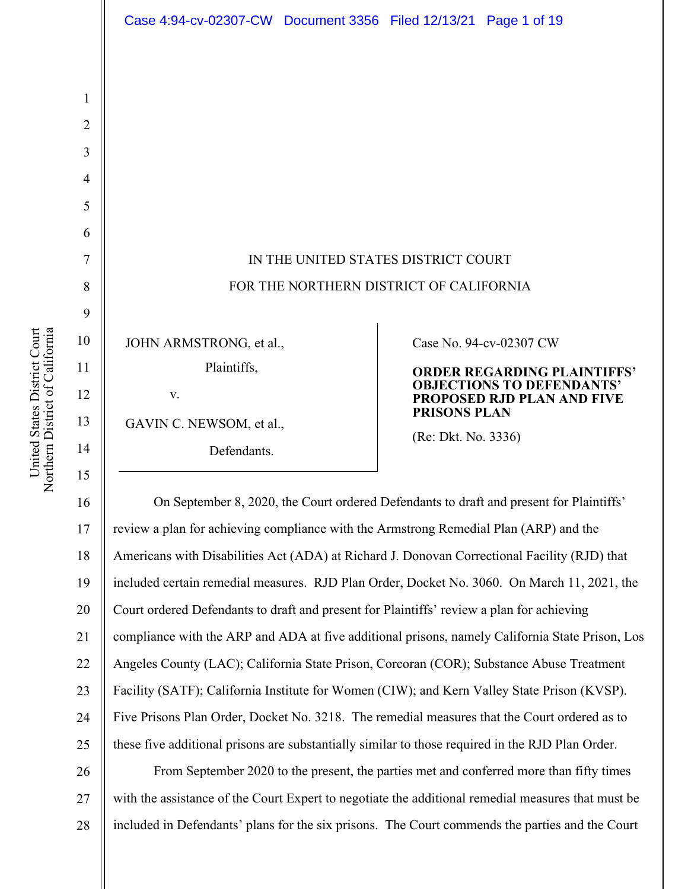

16 17 18 19 20 21 22 23 24 25 On September 8, 2020, the Court ordered Defendants to draft and present for Plaintiffs' review a plan for achieving compliance with the Armstrong Remedial Plan (ARP) and the Americans with Disabilities Act (ADA) at Richard J. Donovan Correctional Facility (RJD) that included certain remedial measures. RJD Plan Order, Docket No. 3060. On March 11, 2021, the Court ordered Defendants to draft and present for Plaintiffs' review a plan for achieving compliance with the ARP and ADA at five additional prisons, namely California State Prison, Los Angeles County (LAC); California State Prison, Corcoran (COR); Substance Abuse Treatment Facility (SATF); California Institute for Women (CIW); and Kern Valley State Prison (KVSP). Five Prisons Plan Order, Docket No. 3218. The remedial measures that the Court ordered as to these five additional prisons are substantially similar to those required in the RJD Plan Order.

26 27 28 From September 2020 to the present, the parties met and conferred more than fifty times with the assistance of the Court Expert to negotiate the additional remedial measures that must be included in Defendants' plans for the six prisons. The Court commends the parties and the Court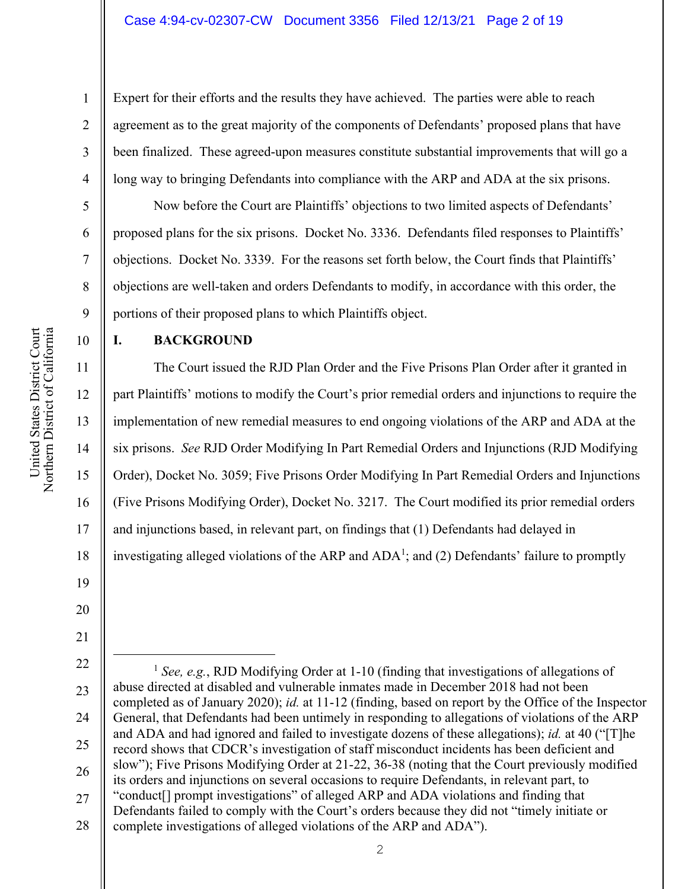Expert for their efforts and the results they have achieved. The parties were able to reach agreement as to the great majority of the components of Defendants' proposed plans that have been finalized. These agreed-upon measures constitute substantial improvements that will go a long way to bringing Defendants into compliance with the ARP and ADA at the six prisons.

Now before the Court are Plaintiffs' objections to two limited aspects of Defendants' proposed plans for the six prisons. Docket No. 3336. Defendants filed responses to Plaintiffs' objections. Docket No. 3339. For the reasons set forth below, the Court finds that Plaintiffs' objections are well-taken and orders Defendants to modify, in accordance with this order, the portions of their proposed plans to which Plaintiffs object.

**I. BACKGROUND** 

The Court issued the RJD Plan Order and the Five Prisons Plan Order after it granted in part Plaintiffs' motions to modify the Court's prior remedial orders and injunctions to require the implementation of new remedial measures to end ongoing violations of the ARP and ADA at the six prisons. *See* RJD Order Modifying In Part Remedial Orders and Injunctions (RJD Modifying Order), Docket No. 3059; Five Prisons Order Modifying In Part Remedial Orders and Injunctions (Five Prisons Modifying Order), Docket No. 3217. The Court modified its prior remedial orders and injunctions based, in relevant part, on findings that (1) Defendants had delayed in investigating alleged violations of the ARP and  $ADA<sup>1</sup>$ ; and (2) Defendants' failure to promptly

- 20
	- 22 23 24 25 26 27 <sup>1</sup> *See, e.g.*, RJD Modifying Order at 1-10 (finding that investigations of allegations of abuse directed at disabled and vulnerable inmates made in December 2018 had not been completed as of January 2020); *id.* at 11-12 (finding, based on report by the Office of the Inspector General, that Defendants had been untimely in responding to allegations of violations of the ARP and ADA and had ignored and failed to investigate dozens of these allegations); *id.* at 40 ("[T]he record shows that CDCR's investigation of staff misconduct incidents has been deficient and slow"); Five Prisons Modifying Order at 21-22, 36-38 (noting that the Court previously modified its orders and injunctions on several occasions to require Defendants, in relevant part, to "conduct[] prompt investigations" of alleged ARP and ADA violations and finding that Defendants failed to comply with the Court's orders because they did not "timely initiate or
	- 28 complete investigations of alleged violations of the ARP and ADA").

1

2

3

4

5

6

7

8

9

10

11

12

13

14

15

16

17

18

19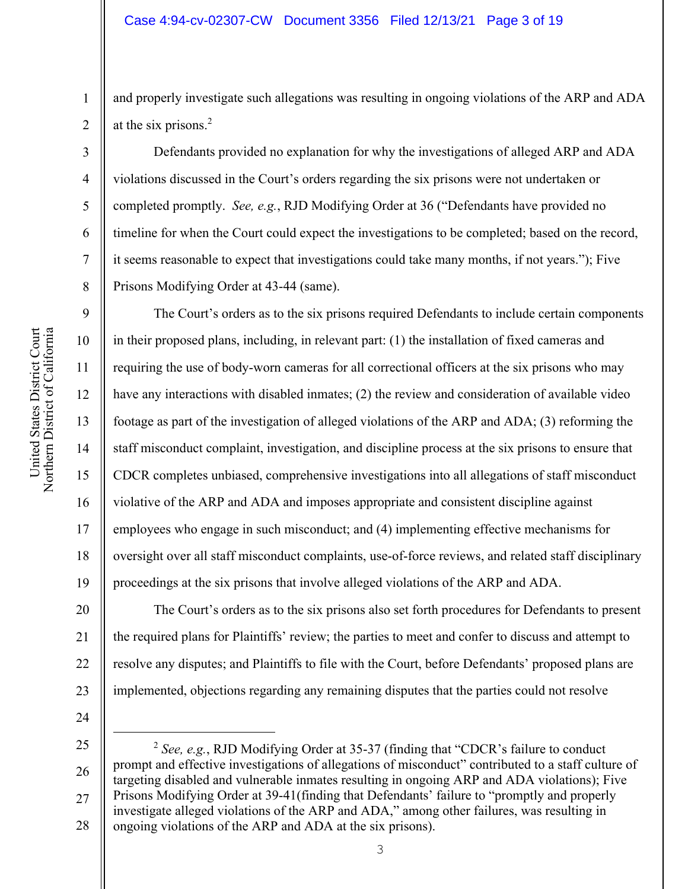and properly investigate such allegations was resulting in ongoing violations of the ARP and ADA at the six prisons.2

Defendants provided no explanation for why the investigations of alleged ARP and ADA violations discussed in the Court's orders regarding the six prisons were not undertaken or completed promptly. *See, e.g.*, RJD Modifying Order at 36 ("Defendants have provided no timeline for when the Court could expect the investigations to be completed; based on the record, it seems reasonable to expect that investigations could take many months, if not years."); Five Prisons Modifying Order at 43-44 (same).

The Court's orders as to the six prisons required Defendants to include certain components in their proposed plans, including, in relevant part: (1) the installation of fixed cameras and requiring the use of body-worn cameras for all correctional officers at the six prisons who may have any interactions with disabled inmates; (2) the review and consideration of available video footage as part of the investigation of alleged violations of the ARP and ADA; (3) reforming the staff misconduct complaint, investigation, and discipline process at the six prisons to ensure that CDCR completes unbiased, comprehensive investigations into all allegations of staff misconduct violative of the ARP and ADA and imposes appropriate and consistent discipline against employees who engage in such misconduct; and (4) implementing effective mechanisms for oversight over all staff misconduct complaints, use-of-force reviews, and related staff disciplinary proceedings at the six prisons that involve alleged violations of the ARP and ADA.

20 21 22 23 The Court's orders as to the six prisons also set forth procedures for Defendants to present the required plans for Plaintiffs' review; the parties to meet and confer to discuss and attempt to resolve any disputes; and Plaintiffs to file with the Court, before Defendants' proposed plans are implemented, objections regarding any remaining disputes that the parties could not resolve

24

25 26 27 28 <sup>2</sup> *See, e.g.*, RJD Modifying Order at 35-37 (finding that "CDCR's failure to conduct prompt and effective investigations of allegations of misconduct" contributed to a staff culture of targeting disabled and vulnerable inmates resulting in ongoing ARP and ADA violations); Five Prisons Modifying Order at 39-41(finding that Defendants' failure to "promptly and properly investigate alleged violations of the ARP and ADA," among other failures, was resulting in ongoing violations of the ARP and ADA at the six prisons).

1

2

3

4

5

6

7

8

9

10

11

12

13

14

15

16

17

18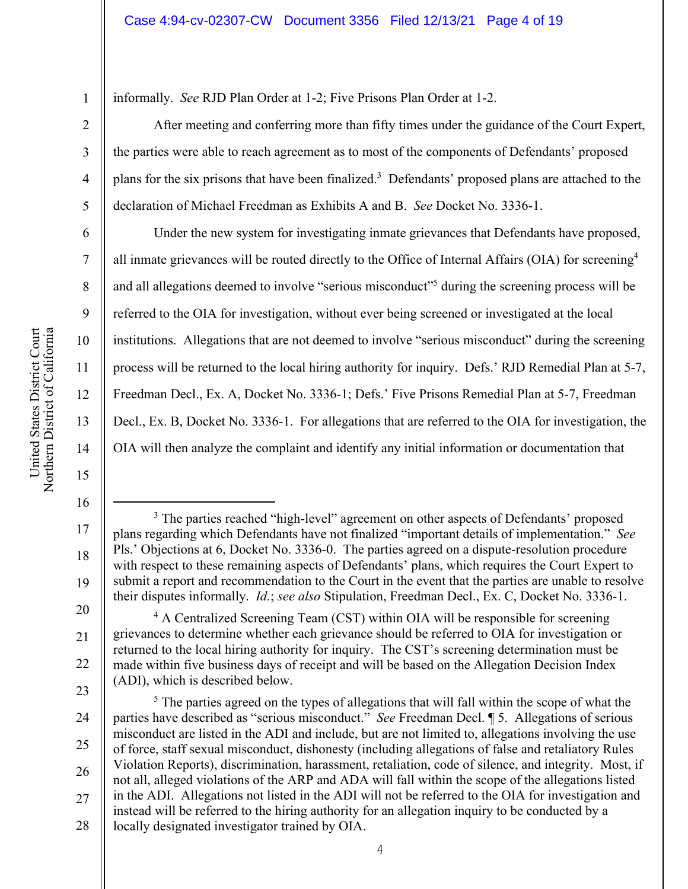informally. *See* RJD Plan Order at 1-2; Five Prisons Plan Order at 1-2.

After meeting and conferring more than fifty times under the guidance of the Court Expert, the parties were able to reach agreement as to most of the components of Defendants' proposed plans for the six prisons that have been finalized.<sup>3</sup> Defendants' proposed plans are attached to the declaration of Michael Freedman as Exhibits A and B. *See* Docket No. 3336-1.

Under the new system for investigating inmate grievances that Defendants have proposed, all inmate grievances will be routed directly to the Office of Internal Affairs (OIA) for screening<sup>4</sup> and all allegations deemed to involve "serious misconduct"5 during the screening process will be referred to the OIA for investigation, without ever being screened or investigated at the local institutions. Allegations that are not deemed to involve "serious misconduct" during the screening process will be returned to the local hiring authority for inquiry. Defs.' RJD Remedial Plan at 5-7, Freedman Decl., Ex. A, Docket No. 3336-1; Defs.' Five Prisons Remedial Plan at 5-7, Freedman Decl., Ex. B, Docket No. 3336-1. For allegations that are referred to the OIA for investigation, the OIA will then analyze the complaint and identify any initial information or documentation that

United States District Court Northern District of California United States District Court<br>Northern District of California 1

2

3

4

5

6

7

8

9

10

11

12

13

14

15

16

17 18 19 20 <sup>3</sup> The parties reached "high-level" agreement on other aspects of Defendants' proposed plans regarding which Defendants have not finalized "important details of implementation." *See* Pls.' Objections at 6, Docket No. 3336-0. The parties agreed on a dispute-resolution procedure with respect to these remaining aspects of Defendants' plans, which requires the Court Expert to submit a report and recommendation to the Court in the event that the parties are unable to resolve their disputes informally. *Id.*; *see also* Stipulation, Freedman Decl., Ex. C, Docket No. 3336-1.

<sup>21</sup>  22 23 <sup>4</sup> A Centralized Screening Team (CST) within OIA will be responsible for screening grievances to determine whether each grievance should be referred to OIA for investigation or returned to the local hiring authority for inquiry. The CST's screening determination must be made within five business days of receipt and will be based on the Allegation Decision Index (ADI), which is described below.

<sup>24</sup>  25 26 27 28  $<sup>5</sup>$  The parties agreed on the types of allegations that will fall within the scope of what the</sup> parties have described as "serious misconduct." *See* Freedman Decl. ¶ 5. Allegations of serious misconduct are listed in the ADI and include, but are not limited to, allegations involving the use of force, staff sexual misconduct, dishonesty (including allegations of false and retaliatory Rules Violation Reports), discrimination, harassment, retaliation, code of silence, and integrity. Most, if not all, alleged violations of the ARP and ADA will fall within the scope of the allegations listed in the ADI. Allegations not listed in the ADI will not be referred to the OIA for investigation and instead will be referred to the hiring authority for an allegation inquiry to be conducted by a locally designated investigator trained by OIA.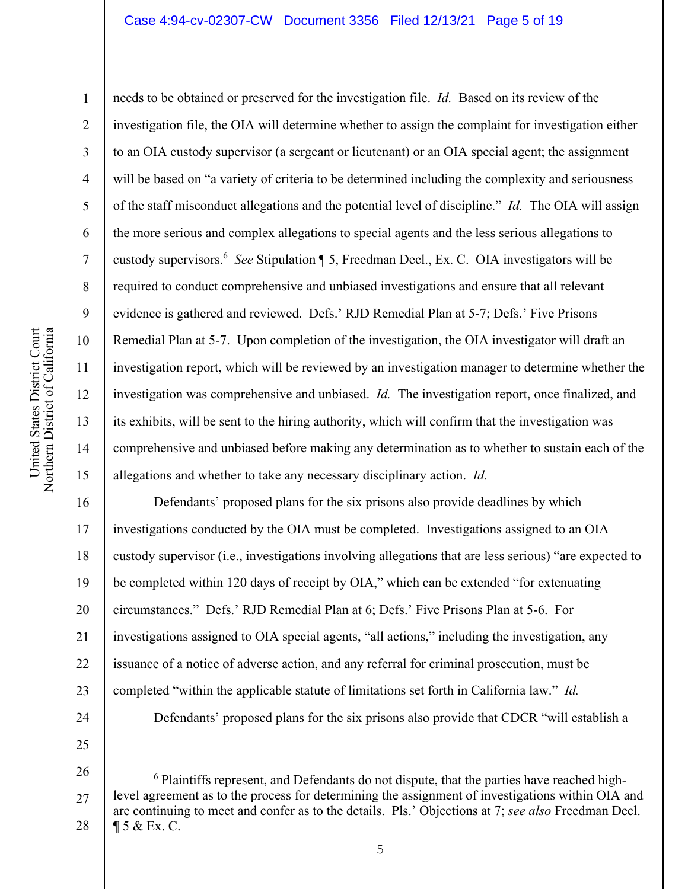United States District Court Northern District of California United States District Court<br>Northern District of California 1

2

3

4

5

7

8

9

10

11

13

14

15

6 12 needs to be obtained or preserved for the investigation file. *Id.* Based on its review of the investigation file, the OIA will determine whether to assign the complaint for investigation either to an OIA custody supervisor (a sergeant or lieutenant) or an OIA special agent; the assignment will be based on "a variety of criteria to be determined including the complexity and seriousness of the staff misconduct allegations and the potential level of discipline." *Id.* The OIA will assign the more serious and complex allegations to special agents and the less serious allegations to custody supervisors.6 *See* Stipulation ¶ 5, Freedman Decl., Ex. C. OIA investigators will be required to conduct comprehensive and unbiased investigations and ensure that all relevant evidence is gathered and reviewed. Defs.' RJD Remedial Plan at 5-7; Defs.' Five Prisons Remedial Plan at 5-7. Upon completion of the investigation, the OIA investigator will draft an investigation report, which will be reviewed by an investigation manager to determine whether the investigation was comprehensive and unbiased. *Id.* The investigation report, once finalized, and its exhibits, will be sent to the hiring authority, which will confirm that the investigation was comprehensive and unbiased before making any determination as to whether to sustain each of the allegations and whether to take any necessary disciplinary action. *Id.*

16 17 18 19 20 21 22 23 24 25 Defendants' proposed plans for the six prisons also provide deadlines by which investigations conducted by the OIA must be completed. Investigations assigned to an OIA custody supervisor (i.e., investigations involving allegations that are less serious) "are expected to be completed within 120 days of receipt by OIA," which can be extended "for extenuating circumstances." Defs.' RJD Remedial Plan at 6; Defs.' Five Prisons Plan at 5-6. For investigations assigned to OIA special agents, "all actions," including the investigation, any issuance of a notice of adverse action, and any referral for criminal prosecution, must be completed "within the applicable statute of limitations set forth in California law." *Id.* Defendants' proposed plans for the six prisons also provide that CDCR "will establish a

<sup>27</sup>  28 <sup>6</sup> Plaintiffs represent, and Defendants do not dispute, that the parties have reached highlevel agreement as to the process for determining the assignment of investigations within OIA and are continuing to meet and confer as to the details. Pls.' Objections at 7; *see also* Freedman Decl. ¶ 5 & Ex. C.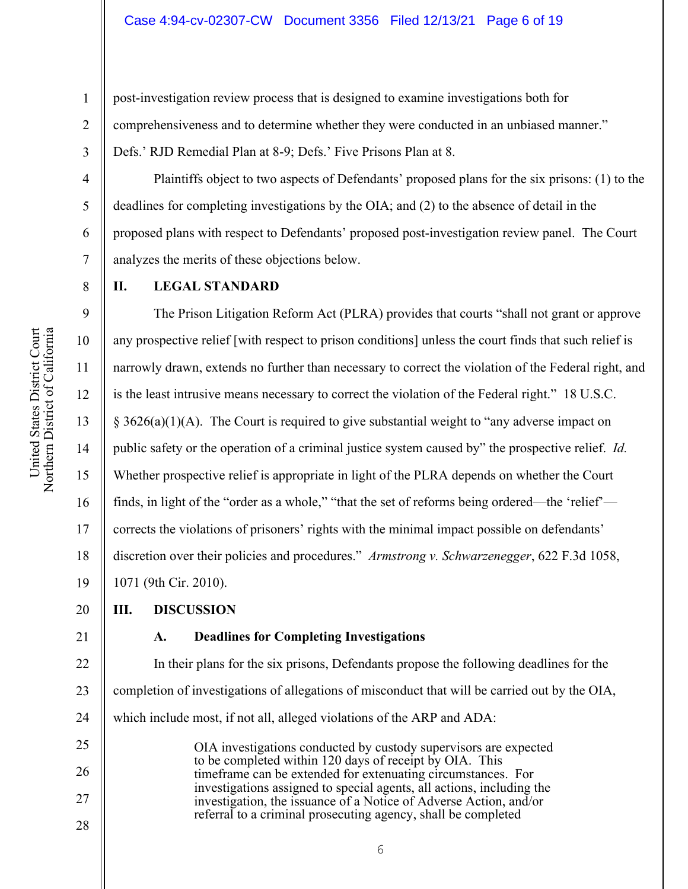post‐investigation review process that is designed to examine investigations both for comprehensiveness and to determine whether they were conducted in an unbiased manner." Defs.' RJD Remedial Plan at 8-9; Defs.' Five Prisons Plan at 8.

Plaintiffs object to two aspects of Defendants' proposed plans for the six prisons: (1) to the deadlines for completing investigations by the OIA; and (2) to the absence of detail in the proposed plans with respect to Defendants' proposed post-investigation review panel. The Court analyzes the merits of these objections below.

1

2

3

4

5

6

7

8

9

10

11

12

13

14

15

16

17

18

19

## **II. LEGAL STANDARD**

The Prison Litigation Reform Act (PLRA) provides that courts "shall not grant or approve any prospective relief [with respect to prison conditions] unless the court finds that such relief is narrowly drawn, extends no further than necessary to correct the violation of the Federal right, and is the least intrusive means necessary to correct the violation of the Federal right." 18 U.S.C.  $§ 3626(a)(1)(A)$ . The Court is required to give substantial weight to "any adverse impact on public safety or the operation of a criminal justice system caused by" the prospective relief. *Id.* Whether prospective relief is appropriate in light of the PLRA depends on whether the Court finds, in light of the "order as a whole," "that the set of reforms being ordered—the 'relief' corrects the violations of prisoners' rights with the minimal impact possible on defendants' discretion over their policies and procedures." *Armstrong v. Schwarzenegger*, 622 F.3d 1058, 1071 (9th Cir. 2010).

#### 20 **III. DISCUSSION**

21

# **A. Deadlines for Completing Investigations**

22 23 24 In their plans for the six prisons, Defendants propose the following deadlines for the completion of investigations of allegations of misconduct that will be carried out by the OIA, which include most, if not all, alleged violations of the ARP and ADA:

25 26 27 28 OIA investigations conducted by custody supervisors are expected to be completed within 120 days of receipt by OIA. This timeframe can be extended for extenuating circumstances. For investigations assigned to special agents, all actions, including the investigation, the issuance of a Notice of Adverse Action, and/or referral to a criminal prosecuting agency, shall be completed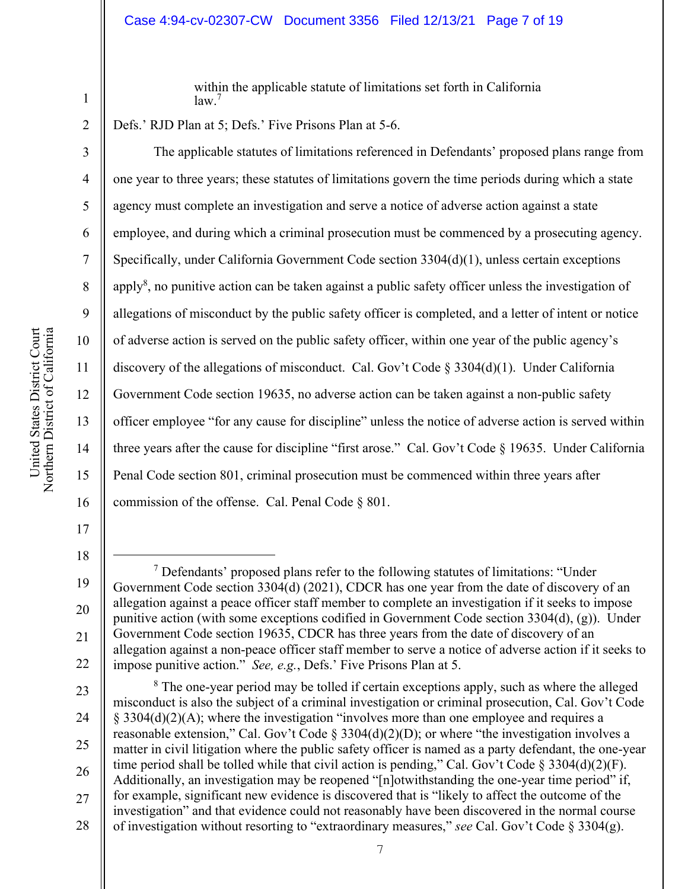#### Case 4:94-cv-02307-CW Document 3356 Filed 12/13/21 Page 7 of 19

within the applicable statute of limitations set forth in California law.<sup>7</sup>

Defs.' RJD Plan at 5; Defs.' Five Prisons Plan at 5-6.

The applicable statutes of limitations referenced in Defendants' proposed plans range from one year to three years; these statutes of limitations govern the time periods during which a state agency must complete an investigation and serve a notice of adverse action against a state employee, and during which a criminal prosecution must be commenced by a prosecuting agency. Specifically, under California Government Code section 3304(d)(1), unless certain exceptions apply<sup>8</sup>, no punitive action can be taken against a public safety officer unless the investigation of allegations of misconduct by the public safety officer is completed, and a letter of intent or notice of adverse action is served on the public safety officer, within one year of the public agency's discovery of the allegations of misconduct. Cal. Gov't Code § 3304(d)(1). Under California Government Code section 19635, no adverse action can be taken against a non-public safety officer employee "for any cause for discipline" unless the notice of adverse action is served within three years after the cause for discipline "first arose." Cal. Gov't Code § 19635. Under California Penal Code section 801, criminal prosecution must be commenced within three years after commission of the offense. Cal. Penal Code § 801.

17

18

1

2

3

4

5

6

7

8

9

10

11

12

13

14

15

16

<sup>19</sup>  20 21 22  $7$  Defendants' proposed plans refer to the following statutes of limitations: "Under Government Code section 3304(d) (2021), CDCR has one year from the date of discovery of an allegation against a peace officer staff member to complete an investigation if it seeks to impose punitive action (with some exceptions codified in Government Code section 3304(d), (g)). Under Government Code section 19635, CDCR has three years from the date of discovery of an allegation against a non‐peace officer staff member to serve a notice of adverse action if it seeks to impose punitive action." *See, e.g.*, Defs.' Five Prisons Plan at 5.

<sup>23</sup>  24 25 26 27 28 <sup>8</sup> The one-year period may be tolled if certain exceptions apply, such as where the alleged misconduct is also the subject of a criminal investigation or criminal prosecution, Cal. Gov't Code § 3304(d)(2)(A); where the investigation "involves more than one employee and requires a reasonable extension," Cal. Gov't Code § 3304(d)(2)(D); or where "the investigation involves a matter in civil litigation where the public safety officer is named as a party defendant, the one-year time period shall be tolled while that civil action is pending," Cal. Gov't Code § 3304(d)(2)(F). Additionally, an investigation may be reopened "[n]otwithstanding the one-year time period" if, for example, significant new evidence is discovered that is "likely to affect the outcome of the investigation" and that evidence could not reasonably have been discovered in the normal course of investigation without resorting to "extraordinary measures," *see* Cal. Gov't Code § 3304(g).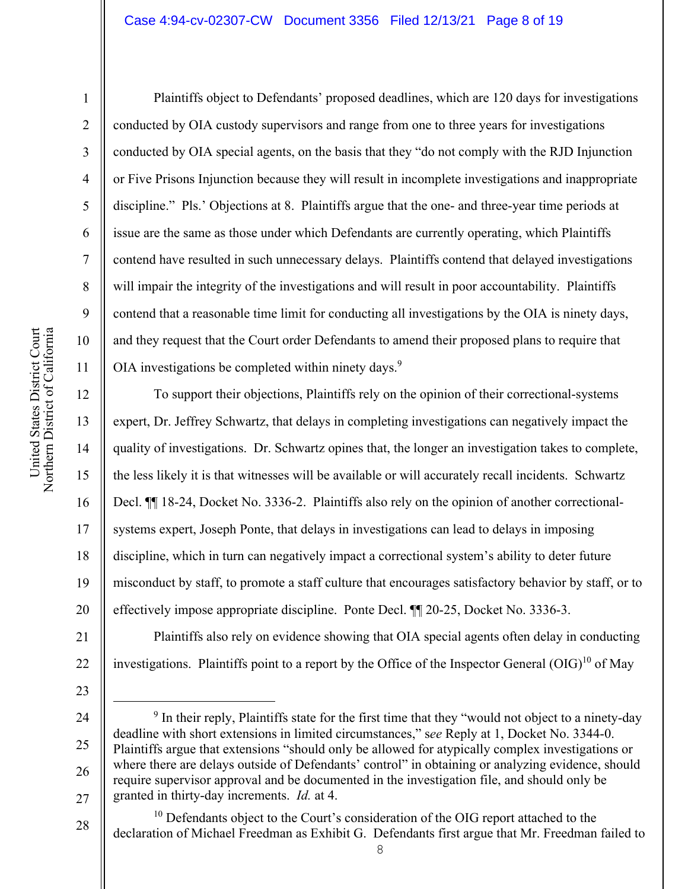#### Case 4:94-cv-02307-CW Document 3356 Filed 12/13/21 Page 8 of 19

1

2

3

4

5

6

7

8

9

10

11

Plaintiffs object to Defendants' proposed deadlines, which are 120 days for investigations conducted by OIA custody supervisors and range from one to three years for investigations conducted by OIA special agents, on the basis that they "do not comply with the RJD Injunction or Five Prisons Injunction because they will result in incomplete investigations and inappropriate discipline." Pls.' Objections at 8. Plaintiffs argue that the one- and three-year time periods at issue are the same as those under which Defendants are currently operating, which Plaintiffs contend have resulted in such unnecessary delays. Plaintiffs contend that delayed investigations will impair the integrity of the investigations and will result in poor accountability. Plaintiffs contend that a reasonable time limit for conducting all investigations by the OIA is ninety days, and they request that the Court order Defendants to amend their proposed plans to require that OIA investigations be completed within ninety days. $9$ 

12 13 14 15 16 17 18 19 20 To support their objections, Plaintiffs rely on the opinion of their correctional-systems expert, Dr. Jeffrey Schwartz, that delays in completing investigations can negatively impact the quality of investigations. Dr. Schwartz opines that, the longer an investigation takes to complete, the less likely it is that witnesses will be available or will accurately recall incidents. Schwartz Decl. ¶¶ 18-24, Docket No. 3336-2. Plaintiffs also rely on the opinion of another correctionalsystems expert, Joseph Ponte, that delays in investigations can lead to delays in imposing discipline, which in turn can negatively impact a correctional system's ability to deter future misconduct by staff, to promote a staff culture that encourages satisfactory behavior by staff, or to effectively impose appropriate discipline. Ponte Decl. ¶¶ 20-25, Docket No. 3336-3.

21 22 Plaintiffs also rely on evidence showing that OIA special agents often delay in conducting investigations. Plaintiffs point to a report by the Office of the Inspector General  $(OIG)^{10}$  of May

23

24

25

26

<sup>&</sup>lt;sup>9</sup> In their reply, Plaintiffs state for the first time that they "would not object to a ninety-day deadline with short extensions in limited circumstances," s*ee* Reply at 1, Docket No. 3344-0. Plaintiffs argue that extensions "should only be allowed for atypically complex investigations or where there are delays outside of Defendants' control" in obtaining or analyzing evidence, should require supervisor approval and be documented in the investigation file, and should only be granted in thirty-day increments. *Id.* at 4.

<sup>28</sup>   $10$  Defendants object to the Court's consideration of the OIG report attached to the declaration of Michael Freedman as Exhibit G. Defendants first argue that Mr. Freedman failed to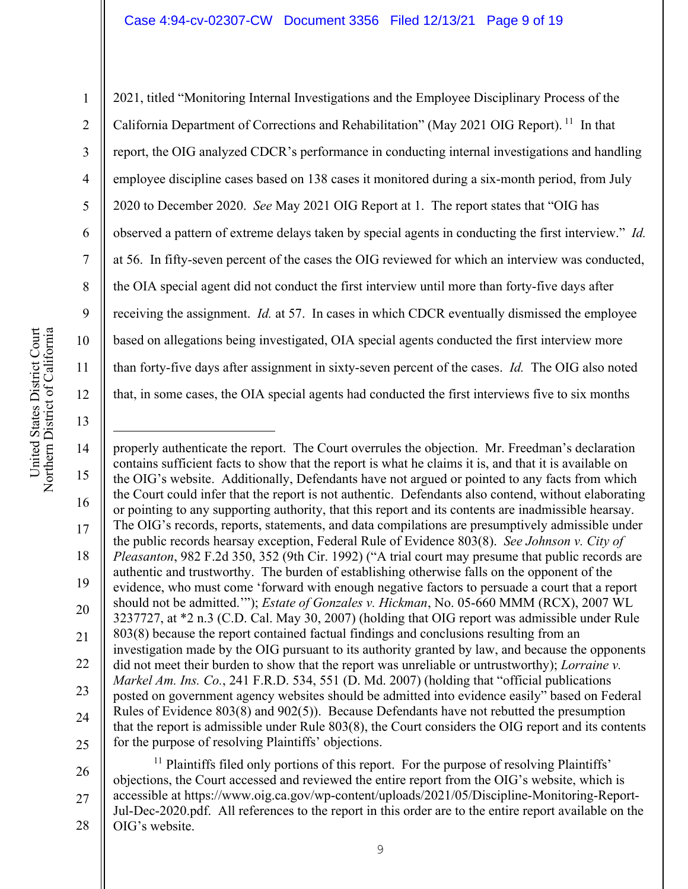2021, titled "Monitoring Internal Investigations and the Employee Disciplinary Process of the California Department of Corrections and Rehabilitation" (May 2021 OIG Report). <sup>11</sup> In that report, the OIG analyzed CDCR's performance in conducting internal investigations and handling employee discipline cases based on 138 cases it monitored during a six-month period, from July 2020 to December 2020. *See* May 2021 OIG Report at 1. The report states that "OIG has observed a pattern of extreme delays taken by special agents in conducting the first interview." *Id.* at 56. In fifty-seven percent of the cases the OIG reviewed for which an interview was conducted, the OIA special agent did not conduct the first interview until more than forty-five days after receiving the assignment. *Id.* at 57. In cases in which CDCR eventually dismissed the employee based on allegations being investigated, OIA special agents conducted the first interview more than forty-five days after assignment in sixty-seven percent of the cases. *Id.* The OIG also noted that, in some cases, the OIA special agents had conducted the first interviews five to six months

United States District Court Northern District of California United States District Court<br>Northern District of California 1

2

3

4

5

6

7

8

9

10

11

12

13

14 15 16 17 18 19 20 21 22 23 24 25 properly authenticate the report. The Court overrules the objection. Mr. Freedman's declaration contains sufficient facts to show that the report is what he claims it is, and that it is available on the OIG's website. Additionally, Defendants have not argued or pointed to any facts from which the Court could infer that the report is not authentic. Defendants also contend, without elaborating or pointing to any supporting authority, that this report and its contents are inadmissible hearsay. The OIG's records, reports, statements, and data compilations are presumptively admissible under the public records hearsay exception, Federal Rule of Evidence 803(8). *See Johnson v. City of Pleasanton*, 982 F.2d 350, 352 (9th Cir. 1992) ("A trial court may presume that public records are authentic and trustworthy. The burden of establishing otherwise falls on the opponent of the evidence, who must come 'forward with enough negative factors to persuade a court that a report should not be admitted.'"); *Estate of Gonzales v. Hickman*, No. 05-660 MMM (RCX), 2007 WL 3237727, at \*2 n.3 (C.D. Cal. May 30, 2007) (holding that OIG report was admissible under Rule 803(8) because the report contained factual findings and conclusions resulting from an investigation made by the OIG pursuant to its authority granted by law, and because the opponents did not meet their burden to show that the report was unreliable or untrustworthy); *Lorraine v. Markel Am. Ins. Co.*, 241 F.R.D. 534, 551 (D. Md. 2007) (holding that "official publications posted on government agency websites should be admitted into evidence easily" based on Federal Rules of Evidence 803(8) and 902(5)). Because Defendants have not rebutted the presumption that the report is admissible under Rule 803(8), the Court considers the OIG report and its contents for the purpose of resolving Plaintiffs' objections.

26 27 28 <sup>11</sup> Plaintiffs filed only portions of this report. For the purpose of resolving Plaintiffs' objections, the Court accessed and reviewed the entire report from the OIG's website, which is accessible at https://www.oig.ca.gov/wp-content/uploads/2021/05/Discipline-Monitoring-Report-Jul-Dec-2020.pdf. All references to the report in this order are to the entire report available on the OIG's website.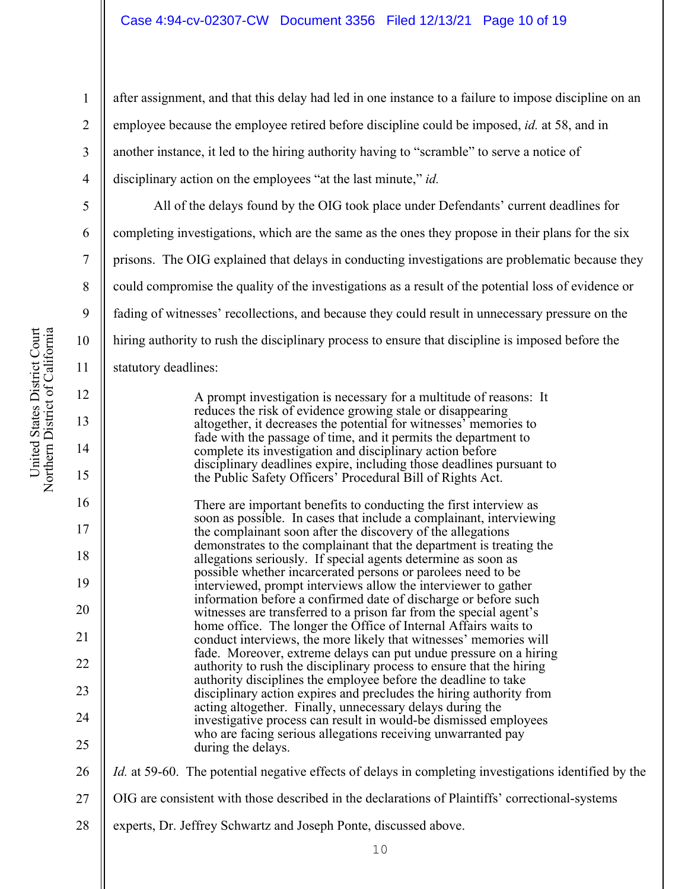after assignment, and that this delay had led in one instance to a failure to impose discipline on an employee because the employee retired before discipline could be imposed, *id.* at 58, and in another instance, it led to the hiring authority having to "scramble" to serve a notice of disciplinary action on the employees "at the last minute," *id.*

All of the delays found by the OIG took place under Defendants' current deadlines for completing investigations, which are the same as the ones they propose in their plans for the six prisons. The OIG explained that delays in conducting investigations are problematic because they could compromise the quality of the investigations as a result of the potential loss of evidence or fading of witnesses' recollections, and because they could result in unnecessary pressure on the hiring authority to rush the disciplinary process to ensure that discipline is imposed before the statutory deadlines:

> A prompt investigation is necessary for a multitude of reasons: It reduces the risk of evidence growing stale or disappearing altogether, it decreases the potential for witnesses' memories to fade with the passage of time, and it permits the department to complete its investigation and disciplinary action before disciplinary deadlines expire, including those deadlines pursuant to the Public Safety Officers' Procedural Bill of Rights Act.

There are important benefits to conducting the first interview as soon as possible. In cases that include a complainant, interviewing the complainant soon after the discovery of the allegations demonstrates to the complainant that the department is treating the allegations seriously. If special agents determine as soon as possible whether incarcerated persons or parolees need to be interviewed, prompt interviews allow the interviewer to gather information before a confirmed date of discharge or before such witnesses are transferred to a prison far from the special agent's home office. The longer the Office of Internal Affairs waits to conduct interviews, the more likely that witnesses' memories will fade. Moreover, extreme delays can put undue pressure on a hiring authority to rush the disciplinary process to ensure that the hiring authority disciplines the employee before the deadline to take disciplinary action expires and precludes the hiring authority from acting altogether. Finally, unnecessary delays during the investigative process can result in would‑be dismissed employees who are facing serious allegations receiving unwarranted pay during the delays.

26 *Id.* at 59-60. The potential negative effects of delays in completing investigations identified by the

- 27 OIG are consistent with those described in the declarations of Plaintiffs' correctional-systems
- 28 experts, Dr. Jeffrey Schwartz and Joseph Ponte, discussed above.

1

2

3

4

5

6

7

8

9

10

11

12

13

14

15

16

17

18

19

20

21

22

23

24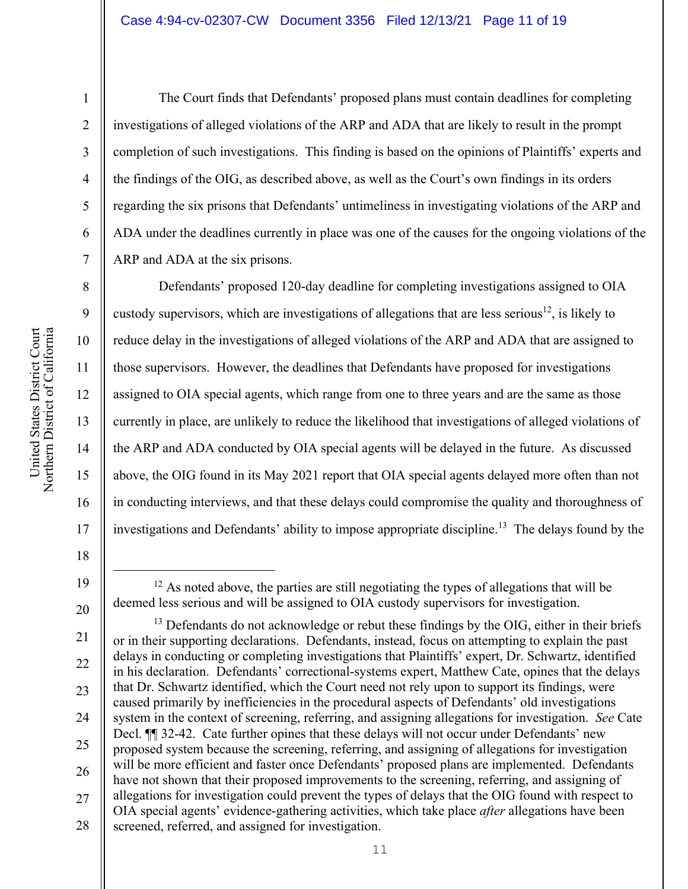United States District Court Northern District of California United States District Court<br>Northern District of California

The Court finds that Defendants' proposed plans must contain deadlines for completing investigations of alleged violations of the ARP and ADA that are likely to result in the prompt completion of such investigations. This finding is based on the opinions of Plaintiffs' experts and the findings of the OIG, as described above, as well as the Court's own findings in its orders regarding the six prisons that Defendants' untimeliness in investigating violations of the ARP and ADA under the deadlines currently in place was one of the causes for the ongoing violations of the ARP and ADA at the six prisons.

Defendants' proposed 120-day deadline for completing investigations assigned to OIA custody supervisors, which are investigations of allegations that are less serious<sup>12</sup>, is likely to reduce delay in the investigations of alleged violations of the ARP and ADA that are assigned to those supervisors. However, the deadlines that Defendants have proposed for investigations assigned to OIA special agents, which range from one to three years and are the same as those currently in place, are unlikely to reduce the likelihood that investigations of alleged violations of the ARP and ADA conducted by OIA special agents will be delayed in the future. As discussed above, the OIG found in its May 2021 report that OIA special agents delayed more often than not in conducting interviews, and that these delays could compromise the quality and thoroughness of investigations and Defendants' ability to impose appropriate discipline.<sup>13</sup> The delays found by the

18

19

1

2

3

4

5

6

7

8

9

10

11

12

13

14

15

16

 $12$  As noted above, the parties are still negotiating the types of allegations that will be deemed less serious and will be assigned to OIA custody supervisors for investigation.

<sup>20</sup>  21 22 23 24 25 26 27 28  $13$  Defendants do not acknowledge or rebut these findings by the OIG, either in their briefs or in their supporting declarations. Defendants, instead, focus on attempting to explain the past delays in conducting or completing investigations that Plaintiffs' expert, Dr. Schwartz, identified in his declaration. Defendants' correctional-systems expert, Matthew Cate, opines that the delays that Dr. Schwartz identified, which the Court need not rely upon to support its findings, were caused primarily by inefficiencies in the procedural aspects of Defendants' old investigations system in the context of screening, referring, and assigning allegations for investigation. *See* Cate Decl. ¶¶ 32-42. Cate further opines that these delays will not occur under Defendants' new proposed system because the screening, referring, and assigning of allegations for investigation will be more efficient and faster once Defendants' proposed plans are implemented. Defendants have not shown that their proposed improvements to the screening, referring, and assigning of allegations for investigation could prevent the types of delays that the OIG found with respect to OIA special agents' evidence-gathering activities, which take place *after* allegations have been screened, referred, and assigned for investigation.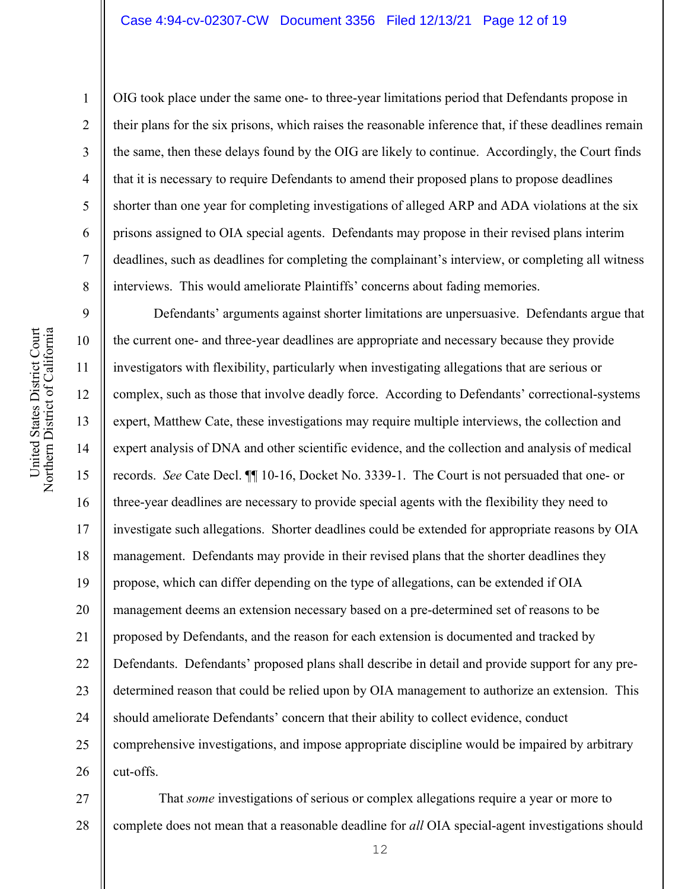OIG took place under the same one- to three-year limitations period that Defendants propose in their plans for the six prisons, which raises the reasonable inference that, if these deadlines remain the same, then these delays found by the OIG are likely to continue. Accordingly, the Court finds that it is necessary to require Defendants to amend their proposed plans to propose deadlines shorter than one year for completing investigations of alleged ARP and ADA violations at the six prisons assigned to OIA special agents. Defendants may propose in their revised plans interim deadlines, such as deadlines for completing the complainant's interview, or completing all witness interviews. This would ameliorate Plaintiffs' concerns about fading memories.

9 10 11 12 13 14 15 16 17 18 19 20 21 22 23 24 25 26 Defendants' arguments against shorter limitations are unpersuasive. Defendants argue that the current one- and three-year deadlines are appropriate and necessary because they provide investigators with flexibility, particularly when investigating allegations that are serious or complex, such as those that involve deadly force. According to Defendants' correctional-systems expert, Matthew Cate, these investigations may require multiple interviews, the collection and expert analysis of DNA and other scientific evidence, and the collection and analysis of medical records. *See* Cate Decl. ¶¶ 10-16, Docket No. 3339-1. The Court is not persuaded that one- or three-year deadlines are necessary to provide special agents with the flexibility they need to investigate such allegations. Shorter deadlines could be extended for appropriate reasons by OIA management. Defendants may provide in their revised plans that the shorter deadlines they propose, which can differ depending on the type of allegations, can be extended if OIA management deems an extension necessary based on a pre-determined set of reasons to be proposed by Defendants, and the reason for each extension is documented and tracked by Defendants. Defendants' proposed plans shall describe in detail and provide support for any predetermined reason that could be relied upon by OIA management to authorize an extension. This should ameliorate Defendants' concern that their ability to collect evidence, conduct comprehensive investigations, and impose appropriate discipline would be impaired by arbitrary cut-offs.

27 28 That *some* investigations of serious or complex allegations require a year or more to complete does not mean that a reasonable deadline for *all* OIA special-agent investigations should

1

2

3

4

5

6

7

8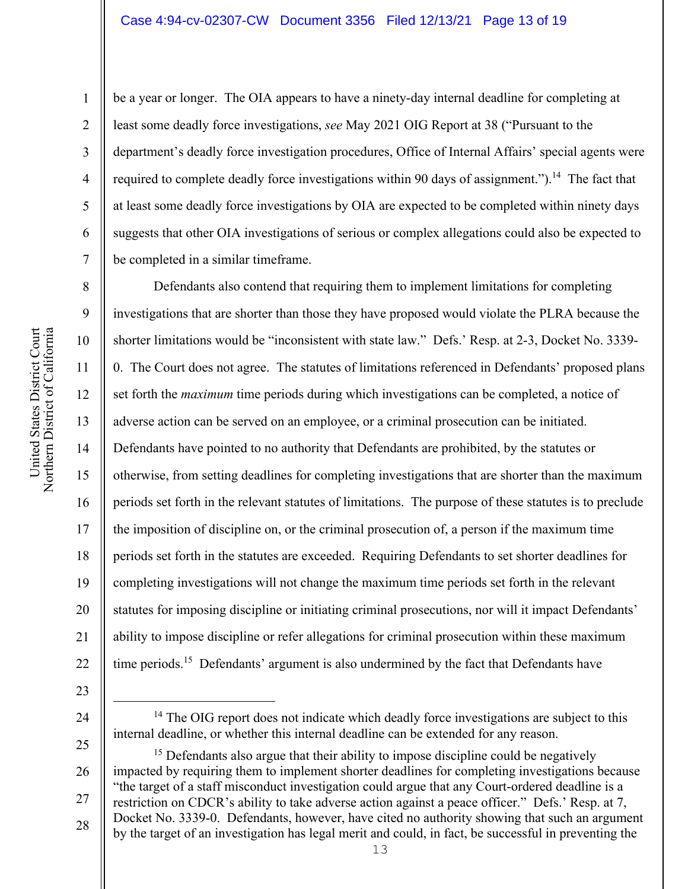be a year or longer. The OIA appears to have a ninety-day internal deadline for completing at least some deadly force investigations, *see* May 2021 OIG Report at 38 ("Pursuant to the department's deadly force investigation procedures, Office of Internal Affairs' special agents were required to complete deadly force investigations within 90 days of assignment.").<sup>14</sup> The fact that at least some deadly force investigations by OIA are expected to be completed within ninety days suggests that other OIA investigations of serious or complex allegations could also be expected to be completed in a similar timeframe.

8 9 10 11 12 13 14 15 16 17 18 19 20 21 22 Defendants also contend that requiring them to implement limitations for completing investigations that are shorter than those they have proposed would violate the PLRA because the shorter limitations would be "inconsistent with state law." Defs.' Resp. at 2-3, Docket No. 3339- 0. The Court does not agree. The statutes of limitations referenced in Defendants' proposed plans set forth the *maximum* time periods during which investigations can be completed, a notice of adverse action can be served on an employee, or a criminal prosecution can be initiated. Defendants have pointed to no authority that Defendants are prohibited, by the statutes or otherwise, from setting deadlines for completing investigations that are shorter than the maximum periods set forth in the relevant statutes of limitations. The purpose of these statutes is to preclude the imposition of discipline on, or the criminal prosecution of, a person if the maximum time periods set forth in the statutes are exceeded. Requiring Defendants to set shorter deadlines for completing investigations will not change the maximum time periods set forth in the relevant statutes for imposing discipline or initiating criminal prosecutions, nor will it impact Defendants' ability to impose discipline or refer allegations for criminal prosecution within these maximum time periods.<sup>15</sup> Defendants' argument is also undermined by the fact that Defendants have

- 23
- 24

25 26 27 28 <sup>15</sup> Defendants also argue that their ability to impose discipline could be negatively impacted by requiring them to implement shorter deadlines for completing investigations because "the target of a staff misconduct investigation could argue that any Court-ordered deadline is a restriction on CDCR's ability to take adverse action against a peace officer." Defs.' Resp. at 7, Docket No. 3339-0. Defendants, however, have cited no authority showing that such an argument by the target of an investigation has legal merit and could, in fact, be successful in preventing the

1

2

3

4

5

6

7

<sup>&</sup>lt;sup>14</sup> The OIG report does not indicate which deadly force investigations are subject to this internal deadline, or whether this internal deadline can be extended for any reason.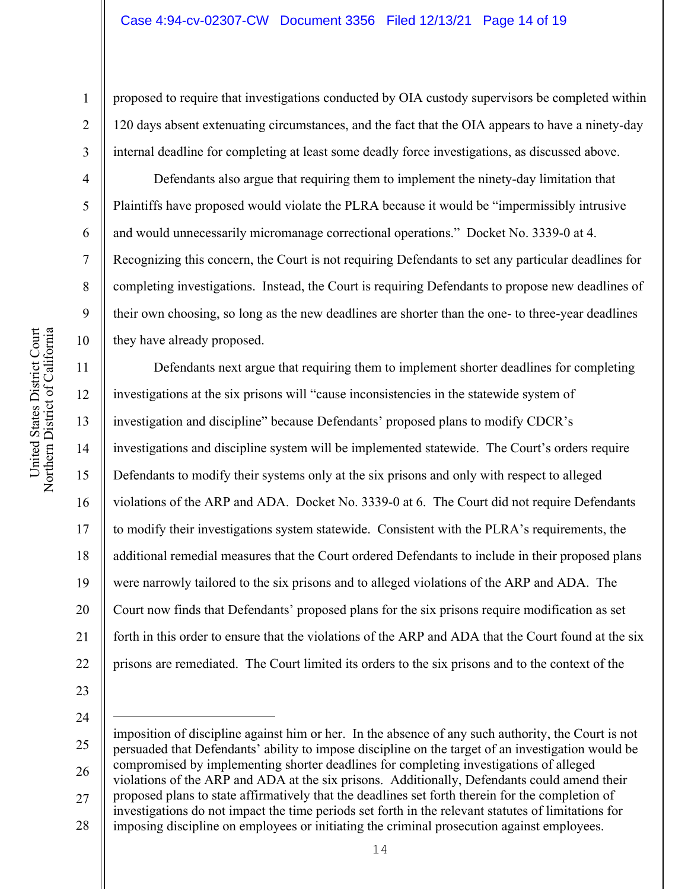proposed to require that investigations conducted by OIA custody supervisors be completed within 120 days absent extenuating circumstances, and the fact that the OIA appears to have a ninety-day internal deadline for completing at least some deadly force investigations, as discussed above.

Defendants also argue that requiring them to implement the ninety-day limitation that Plaintiffs have proposed would violate the PLRA because it would be "impermissibly intrusive and would unnecessarily micromanage correctional operations." Docket No. 3339-0 at 4. Recognizing this concern, the Court is not requiring Defendants to set any particular deadlines for completing investigations. Instead, the Court is requiring Defendants to propose new deadlines of their own choosing, so long as the new deadlines are shorter than the one- to three-year deadlines they have already proposed.

11 12 13 14 15 16 17 18 19 20 21 22 Defendants next argue that requiring them to implement shorter deadlines for completing investigations at the six prisons will "cause inconsistencies in the statewide system of investigation and discipline" because Defendants' proposed plans to modify CDCR's investigations and discipline system will be implemented statewide. The Court's orders require Defendants to modify their systems only at the six prisons and only with respect to alleged violations of the ARP and ADA. Docket No. 3339-0 at 6. The Court did not require Defendants to modify their investigations system statewide. Consistent with the PLRA's requirements, the additional remedial measures that the Court ordered Defendants to include in their proposed plans were narrowly tailored to the six prisons and to alleged violations of the ARP and ADA. The Court now finds that Defendants' proposed plans for the six prisons require modification as set forth in this order to ensure that the violations of the ARP and ADA that the Court found at the six prisons are remediated. The Court limited its orders to the six prisons and to the context of the

- 23
- 24

1

2

3

4

5

6

7

8

9

<sup>25</sup>  26 27 28 imposition of discipline against him or her. In the absence of any such authority, the Court is not persuaded that Defendants' ability to impose discipline on the target of an investigation would be compromised by implementing shorter deadlines for completing investigations of alleged violations of the ARP and ADA at the six prisons. Additionally, Defendants could amend their proposed plans to state affirmatively that the deadlines set forth therein for the completion of investigations do not impact the time periods set forth in the relevant statutes of limitations for imposing discipline on employees or initiating the criminal prosecution against employees.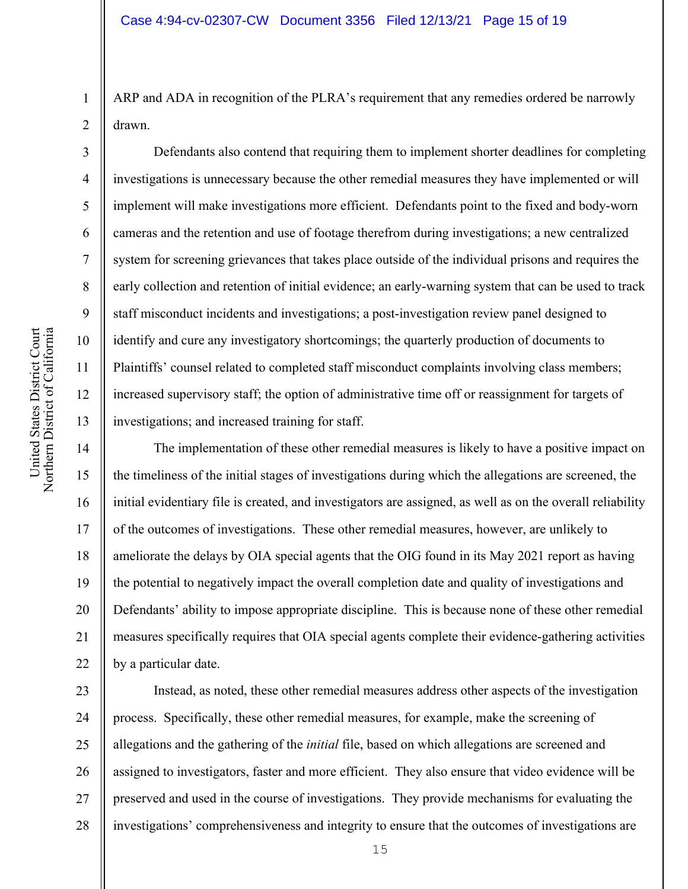ARP and ADA in recognition of the PLRA's requirement that any remedies ordered be narrowly drawn.

Defendants also contend that requiring them to implement shorter deadlines for completing investigations is unnecessary because the other remedial measures they have implemented or will implement will make investigations more efficient. Defendants point to the fixed and body-worn cameras and the retention and use of footage therefrom during investigations; a new centralized system for screening grievances that takes place outside of the individual prisons and requires the early collection and retention of initial evidence; an early-warning system that can be used to track staff misconduct incidents and investigations; a post-investigation review panel designed to identify and cure any investigatory shortcomings; the quarterly production of documents to Plaintiffs' counsel related to completed staff misconduct complaints involving class members; increased supervisory staff; the option of administrative time off or reassignment for targets of investigations; and increased training for staff.

14 15 16 17 18 19 20 21 22 The implementation of these other remedial measures is likely to have a positive impact on the timeliness of the initial stages of investigations during which the allegations are screened, the initial evidentiary file is created, and investigators are assigned, as well as on the overall reliability of the outcomes of investigations. These other remedial measures, however, are unlikely to ameliorate the delays by OIA special agents that the OIG found in its May 2021 report as having the potential to negatively impact the overall completion date and quality of investigations and Defendants' ability to impose appropriate discipline. This is because none of these other remedial measures specifically requires that OIA special agents complete their evidence-gathering activities by a particular date.

23 24 25 26 27 28 Instead, as noted, these other remedial measures address other aspects of the investigation process. Specifically, these other remedial measures, for example, make the screening of allegations and the gathering of the *initial* file, based on which allegations are screened and assigned to investigators, faster and more efficient. They also ensure that video evidence will be preserved and used in the course of investigations. They provide mechanisms for evaluating the investigations' comprehensiveness and integrity to ensure that the outcomes of investigations are

1

2

3

4

5

6

7

8

9

10

11

12

13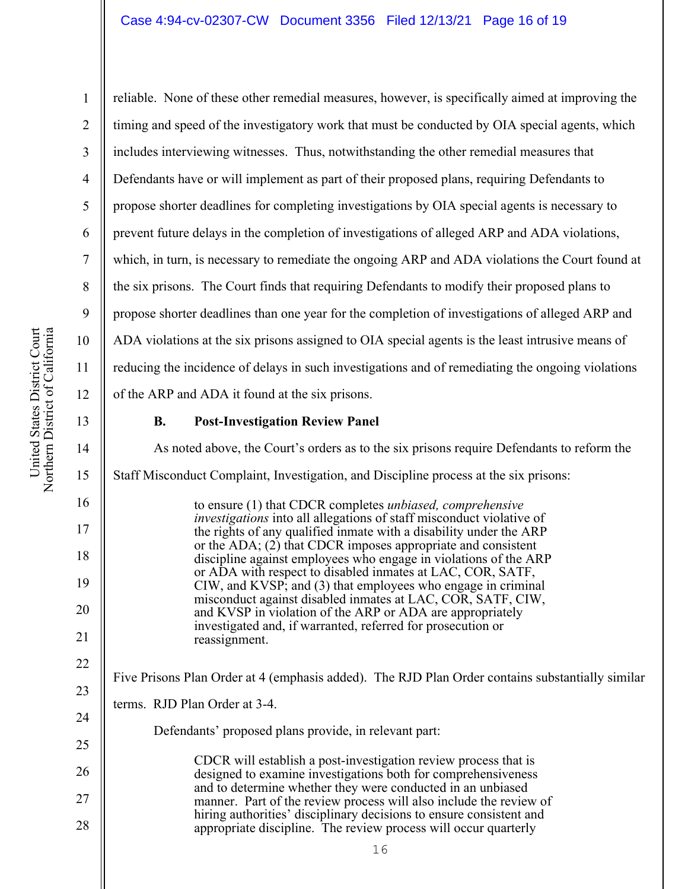2 3 4 5 6 7 8 10 11 12 reliable. None of these other remedial measures, however, is specifically aimed at improving the timing and speed of the investigatory work that must be conducted by OIA special agents, which includes interviewing witnesses. Thus, notwithstanding the other remedial measures that Defendants have or will implement as part of their proposed plans, requiring Defendants to propose shorter deadlines for completing investigations by OIA special agents is necessary to prevent future delays in the completion of investigations of alleged ARP and ADA violations, which, in turn, is necessary to remediate the ongoing ARP and ADA violations the Court found at the six prisons. The Court finds that requiring Defendants to modify their proposed plans to propose shorter deadlines than one year for the completion of investigations of alleged ARP and ADA violations at the six prisons assigned to OIA special agents is the least intrusive means of reducing the incidence of delays in such investigations and of remediating the ongoing violations of the ARP and ADA it found at the six prisons.

13

9

1

## **B. Post-Investigation Review Panel**

16 14 15 16 17 18 19 20 21 22 23 24 25 26 27 28 As noted above, the Court's orders as to the six prisons require Defendants to reform the Staff Misconduct Complaint, Investigation, and Discipline process at the six prisons: to ensure (1) that CDCR completes *unbiased, comprehensive investigations* into all allegations of staff misconduct violative of the rights of any qualified inmate with a disability under the ARP or the ADA; (2) that CDCR imposes appropriate and consistent discipline against employees who engage in violations of the ARP or ADA with respect to disabled inmates at LAC, COR, SATF, CIW, and KVSP; and (3) that employees who engage in criminal misconduct against disabled inmates at LAC, COR, SATF, CIW, and KVSP in violation of the ARP or ADA are appropriately investigated and, if warranted, referred for prosecution or reassignment. Five Prisons Plan Order at 4 (emphasis added). The RJD Plan Order contains substantially similar terms. RJD Plan Order at 3-4. Defendants' proposed plans provide, in relevant part: CDCR will establish a post‐investigation review process that is designed to examine investigations both for comprehensiveness and to determine whether they were conducted in an unbiased manner. Part of the review process will also include the review of hiring authorities' disciplinary decisions to ensure consistent and appropriate discipline. The review process will occur quarterly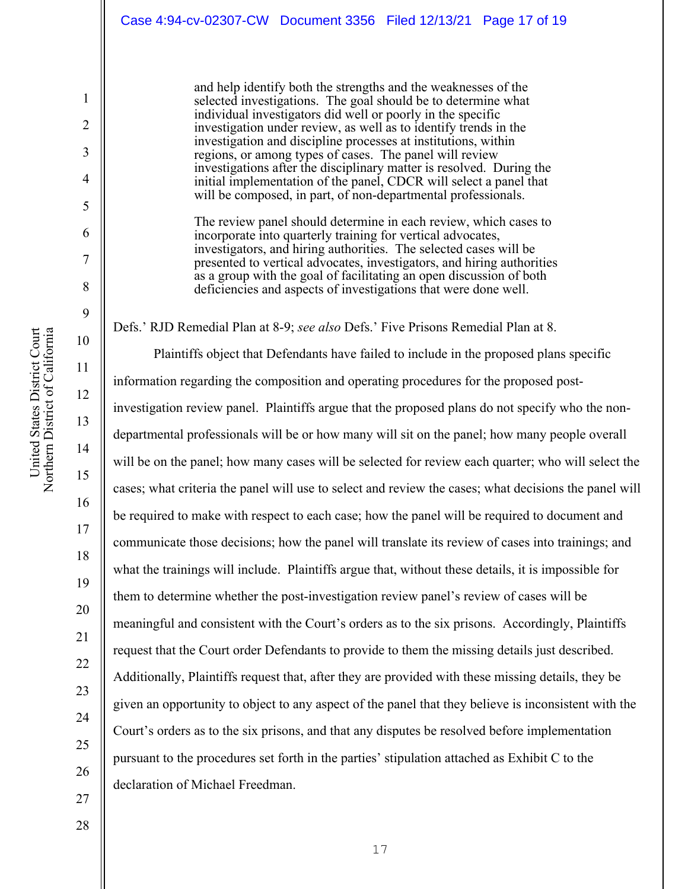and help identify both the strengths and the weaknesses of the selected investigations. The goal should be to determine what individual investigators did well or poorly in the specific investigation under review, as well as to identify trends in the investigation and discipline processes at institutions, within regions, or among types of cases. The panel will review investigations after the disciplinary matter is resolved. During the initial implementation of the panel, CDCR will select a panel that will be composed, in part, of non-departmental professionals.

The review panel should determine in each review, which cases to incorporate into quarterly training for vertical advocates, investigators, and hiring authorities. The selected cases will be presented to vertical advocates, investigators, and hiring authorities as a group with the goal of facilitating an open discussion of both deficiencies and aspects of investigations that were done well.

Defs.' RJD Remedial Plan at 8-9; *see also* Defs.' Five Prisons Remedial Plan at 8.

Plaintiffs object that Defendants have failed to include in the proposed plans specific information regarding the composition and operating procedures for the proposed postinvestigation review panel. Plaintiffs argue that the proposed plans do not specify who the nondepartmental professionals will be or how many will sit on the panel; how many people overall will be on the panel; how many cases will be selected for review each quarter; who will select the cases; what criteria the panel will use to select and review the cases; what decisions the panel will be required to make with respect to each case; how the panel will be required to document and communicate those decisions; how the panel will translate its review of cases into trainings; and what the trainings will include. Plaintiffs argue that, without these details, it is impossible for them to determine whether the post-investigation review panel's review of cases will be meaningful and consistent with the Court's orders as to the six prisons. Accordingly, Plaintiffs request that the Court order Defendants to provide to them the missing details just described. Additionally, Plaintiffs request that, after they are provided with these missing details, they be given an opportunity to object to any aspect of the panel that they believe is inconsistent with the Court's orders as to the six prisons, and that any disputes be resolved before implementation pursuant to the procedures set forth in the parties' stipulation attached as Exhibit C to the declaration of Michael Freedman.

1

2

3

4

5

6

7

8

9

10

11

12

13

14

15

16

17

18

19

20

21

22

23

24

25

26

27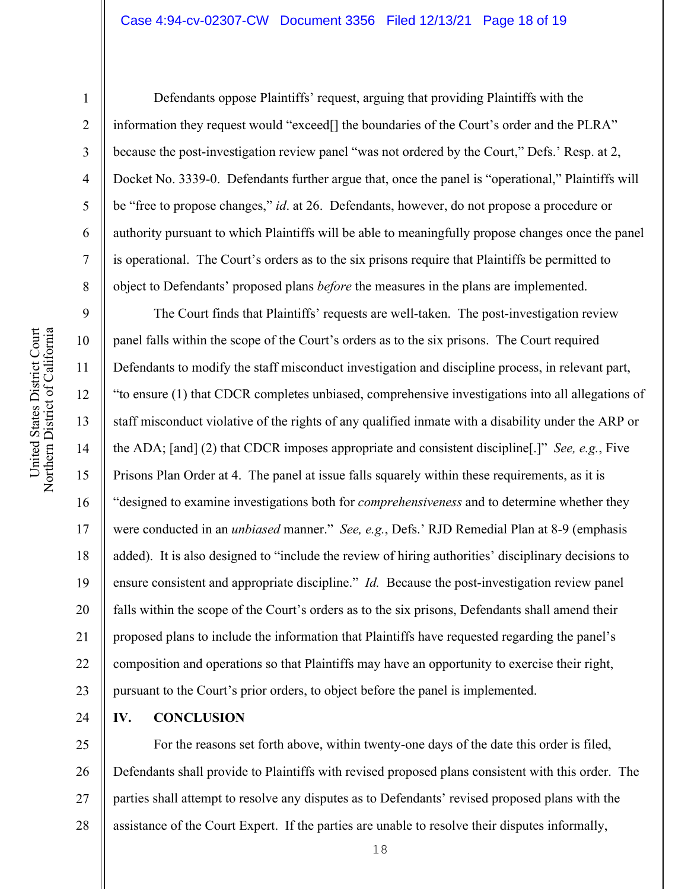### Case 4:94-cv-02307-CW Document 3356 Filed 12/13/21 Page 18 of 19

1

2

3

4

5

6

7

8

9

10

11

13

15

16

17

21

23

Defendants oppose Plaintiffs' request, arguing that providing Plaintiffs with the information they request would "exceed[] the boundaries of the Court's order and the PLRA" because the post-investigation review panel "was not ordered by the Court," Defs.' Resp. at 2, Docket No. 3339-0. Defendants further argue that, once the panel is "operational," Plaintiffs will be "free to propose changes," *id*. at 26. Defendants, however, do not propose a procedure or authority pursuant to which Plaintiffs will be able to meaningfully propose changes once the panel is operational. The Court's orders as to the six prisons require that Plaintiffs be permitted to object to Defendants' proposed plans *before* the measures in the plans are implemented.

12 14 18 19 20 22 The Court finds that Plaintiffs' requests are well-taken. The post-investigation review panel falls within the scope of the Court's orders as to the six prisons. The Court required Defendants to modify the staff misconduct investigation and discipline process, in relevant part, "to ensure (1) that CDCR completes unbiased, comprehensive investigations into all allegations of staff misconduct violative of the rights of any qualified inmate with a disability under the ARP or the ADA; [and] (2) that CDCR imposes appropriate and consistent discipline[.]" *See, e.g.*, Five Prisons Plan Order at 4. The panel at issue falls squarely within these requirements, as it is "designed to examine investigations both for *comprehensiveness* and to determine whether they were conducted in an *unbiased* manner." *See, e.g.*, Defs.' RJD Remedial Plan at 8-9 (emphasis added). It is also designed to "include the review of hiring authorities' disciplinary decisions to ensure consistent and appropriate discipline." *Id.* Because the post-investigation review panel falls within the scope of the Court's orders as to the six prisons, Defendants shall amend their proposed plans to include the information that Plaintiffs have requested regarding the panel's composition and operations so that Plaintiffs may have an opportunity to exercise their right, pursuant to the Court's prior orders, to object before the panel is implemented.

24 **IV. CONCLUSION** 

25 26 27 28 For the reasons set forth above, within twenty-one days of the date this order is filed, Defendants shall provide to Plaintiffs with revised proposed plans consistent with this order. The parties shall attempt to resolve any disputes as to Defendants' revised proposed plans with the assistance of the Court Expert. If the parties are unable to resolve their disputes informally,